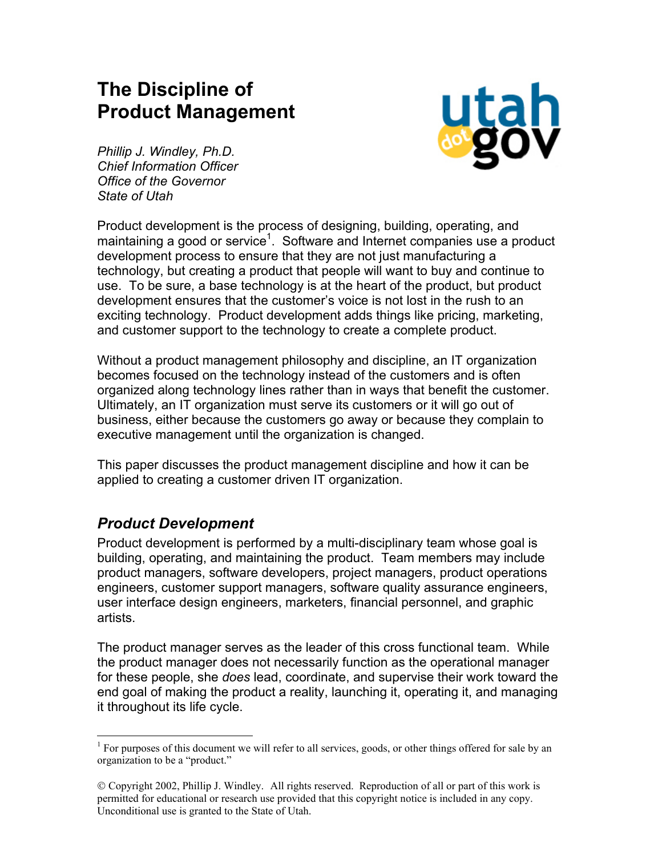# **The Discipline of Product Management**



*Phillip J. Windley, Ph.D. Chief Information Officer Office of the Governor State of Utah* 

Product development is the process of designing, building, operating, and maintaining a good or service<sup>[1](#page-0-0)</sup>. Software and Internet companies use a product development process to ensure that they are not just manufacturing a technology, but creating a product that people will want to buy and continue to use. To be sure, a base technology is at the heart of the product, but product development ensures that the customer's voice is not lost in the rush to an exciting technology. Product development adds things like pricing, marketing, and customer support to the technology to create a complete product.

Without a product management philosophy and discipline, an IT organization becomes focused on the technology instead of the customers and is often organized along technology lines rather than in ways that benefit the customer. Ultimately, an IT organization must serve its customers or it will go out of business, either because the customers go away or because they complain to executive management until the organization is changed.

This paper discusses the product management discipline and how it can be applied to creating a customer driven IT organization.

### *Product Development*

Product development is performed by a multi-disciplinary team whose goal is building, operating, and maintaining the product. Team members may include product managers, software developers, project managers, product operations engineers, customer support managers, software quality assurance engineers, user interface design engineers, marketers, financial personnel, and graphic artists.

The product manager serves as the leader of this cross functional team. While the product manager does not necessarily function as the operational manager for these people, she *does* lead, coordinate, and supervise their work toward the end goal of making the product a reality, launching it, operating it, and managing it throughout its life cycle.

<span id="page-0-0"></span><sup>1</sup> <sup>1</sup> For purposes of this document we will refer to all services, goods, or other things offered for sale by an organization to be a "product."

Copyright 2002, Phillip J. Windley. All rights reserved. Reproduction of all or part of this work is permitted for educational or research use provided that this copyright notice is included in any copy. Unconditional use is granted to the State of Utah.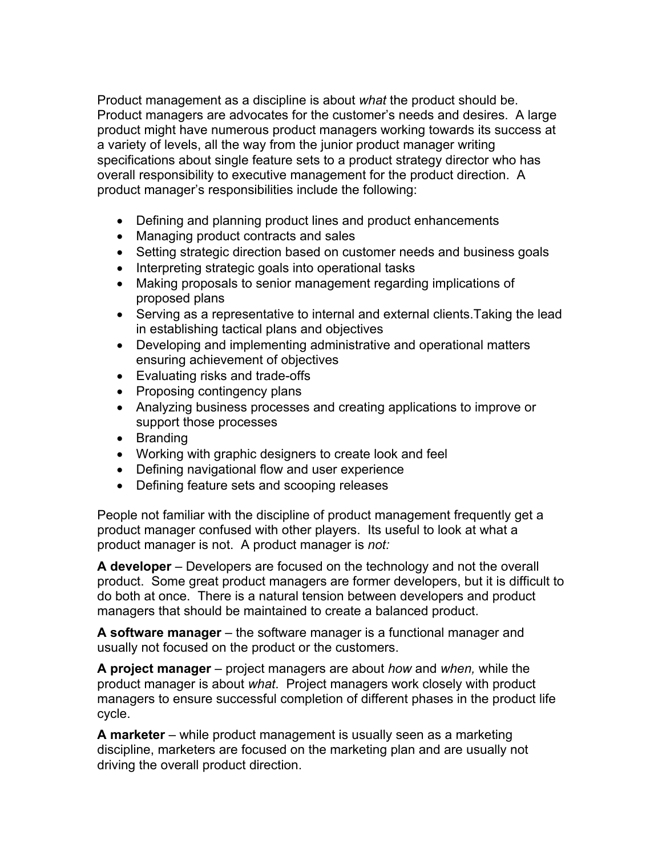Product management as a discipline is about *what* the product should be. Product managers are advocates for the customer's needs and desires. A large product might have numerous product managers working towards its success at a variety of levels, all the way from the junior product manager writing specifications about single feature sets to a product strategy director who has overall responsibility to executive management for the product direction. A product manager's responsibilities include the following:

- Defining and planning product lines and product enhancements
- Managing product contracts and sales
- Setting strategic direction based on customer needs and business goals
- Interpreting strategic goals into operational tasks
- Making proposals to senior management regarding implications of proposed plans
- Serving as a representative to internal and external clients.Taking the lead in establishing tactical plans and objectives
- Developing and implementing administrative and operational matters ensuring achievement of objectives
- Evaluating risks and trade-offs
- Proposing contingency plans
- Analyzing business processes and creating applications to improve or support those processes
- Branding
- Working with graphic designers to create look and feel
- Defining navigational flow and user experience
- Defining feature sets and scooping releases

People not familiar with the discipline of product management frequently get a product manager confused with other players. Its useful to look at what a product manager is not. A product manager is *not:* 

**A developer** – Developers are focused on the technology and not the overall product. Some great product managers are former developers, but it is difficult to do both at once. There is a natural tension between developers and product managers that should be maintained to create a balanced product.

**A software manager** – the software manager is a functional manager and usually not focused on the product or the customers.

**A project manager** – project managers are about *how* and *when,* while the product manager is about *what*. Project managers work closely with product managers to ensure successful completion of different phases in the product life cycle.

**A marketer** – while product management is usually seen as a marketing discipline, marketers are focused on the marketing plan and are usually not driving the overall product direction.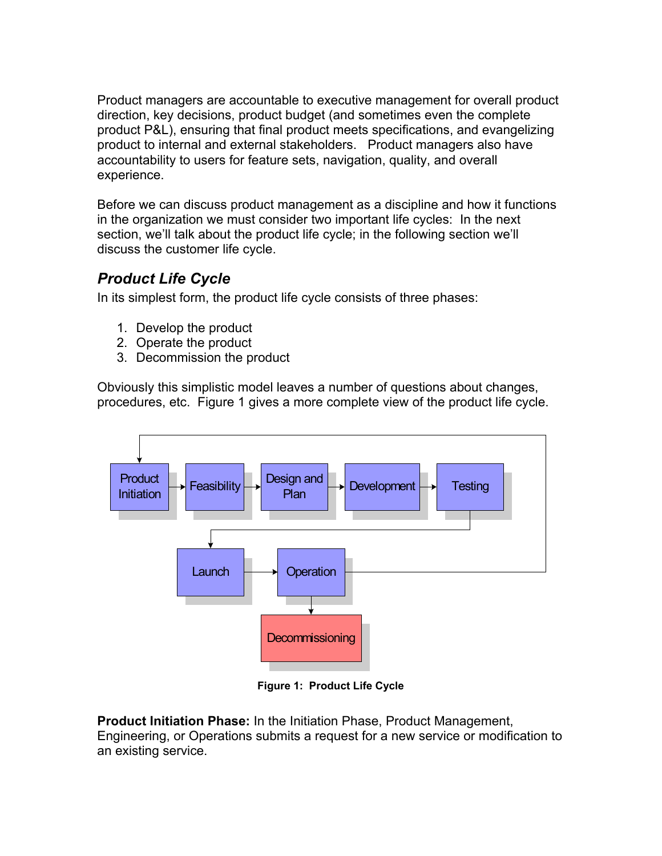Product managers are accountable to executive management for overall product direction, key decisions, product budget (and sometimes even the complete product P&L), ensuring that final product meets specifications, and evangelizing product to internal and external stakeholders. Product managers also have accountability to users for feature sets, navigation, quality, and overall experience.

Before we can discuss product management as a discipline and how it functions in the organization we must consider two important life cycles: In the next section, we'll talk about the product life cycle; in the following section we'll discuss the customer life cycle.

# *Product Life Cycle*

In its simplest form, the product life cycle consists of three phases:

- 1. Develop the product
- 2. Operate the product
- 3. Decommission the product

Obviously this simplistic model leaves a number of questions about changes, procedures, etc. [Figure 1](#page-2-0) gives a more complete view of the product life cycle.

<span id="page-2-0"></span>

**Figure 1: Product Life Cycle** 

**Product Initiation Phase:** In the Initiation Phase, Product Management, Engineering, or Operations submits a request for a new service or modification to an existing service.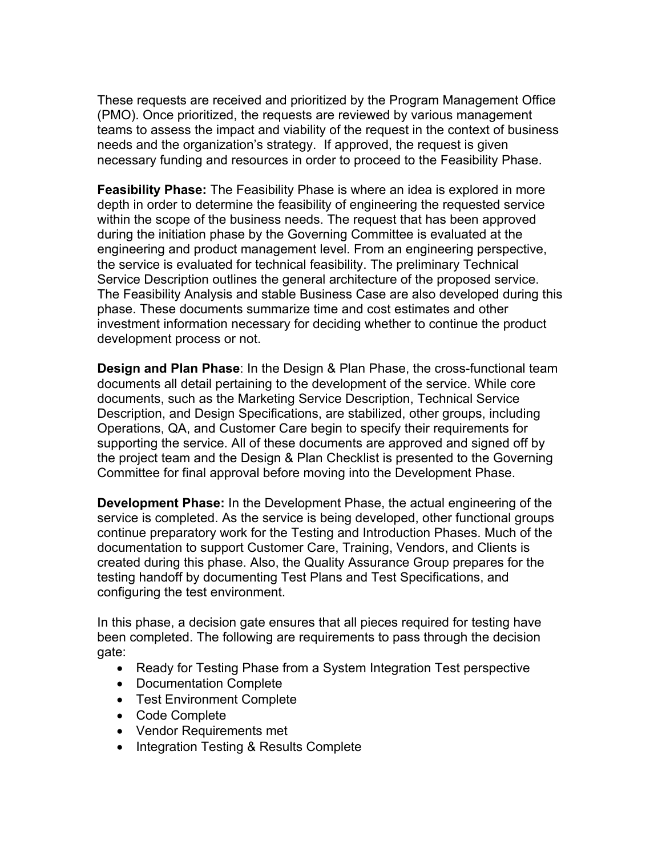These requests are received and prioritized by the Program Management Office (PMO). Once prioritized, the requests are reviewed by various management teams to assess the impact and viability of the request in the context of business needs and the organization's strategy. If approved, the request is given necessary funding and resources in order to proceed to the Feasibility Phase.

**Feasibility Phase:** The Feasibility Phase is where an idea is explored in more depth in order to determine the feasibility of engineering the requested service within the scope of the business needs. The request that has been approved during the initiation phase by the Governing Committee is evaluated at the engineering and product management level. From an engineering perspective, the service is evaluated for technical feasibility. The preliminary Technical Service Description outlines the general architecture of the proposed service. The Feasibility Analysis and stable Business Case are also developed during this phase. These documents summarize time and cost estimates and other investment information necessary for deciding whether to continue the product development process or not.

**Design and Plan Phase**: In the Design & Plan Phase, the cross-functional team documents all detail pertaining to the development of the service. While core documents, such as the Marketing Service Description, Technical Service Description, and Design Specifications, are stabilized, other groups, including Operations, QA, and Customer Care begin to specify their requirements for supporting the service. All of these documents are approved and signed off by the project team and the Design & Plan Checklist is presented to the Governing Committee for final approval before moving into the Development Phase.

**Development Phase:** In the Development Phase, the actual engineering of the service is completed. As the service is being developed, other functional groups continue preparatory work for the Testing and Introduction Phases. Much of the documentation to support Customer Care, Training, Vendors, and Clients is created during this phase. Also, the Quality Assurance Group prepares for the testing handoff by documenting Test Plans and Test Specifications, and configuring the test environment.

In this phase, a decision gate ensures that all pieces required for testing have been completed. The following are requirements to pass through the decision gate:

- Ready for Testing Phase from a System Integration Test perspective
- Documentation Complete
- Test Environment Complete
- Code Complete
- Vendor Requirements met
- Integration Testing & Results Complete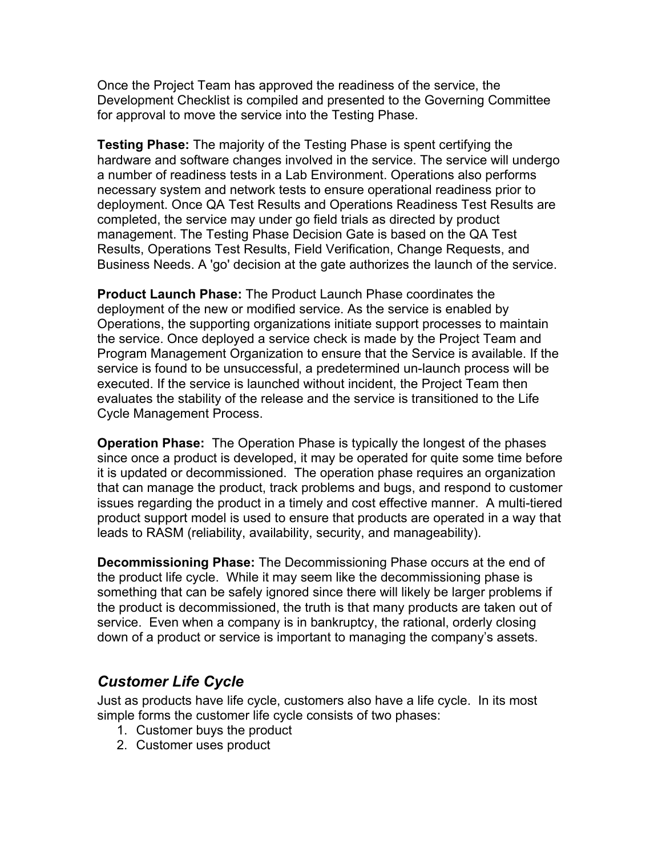Once the Project Team has approved the readiness of the service, the Development Checklist is compiled and presented to the Governing Committee for approval to move the service into the Testing Phase.

**Testing Phase:** The majority of the Testing Phase is spent certifying the hardware and software changes involved in the service. The service will undergo a number of readiness tests in a Lab Environment. Operations also performs necessary system and network tests to ensure operational readiness prior to deployment. Once QA Test Results and Operations Readiness Test Results are completed, the service may under go field trials as directed by product management. The Testing Phase Decision Gate is based on the QA Test Results, Operations Test Results, Field Verification, Change Requests, and Business Needs. A 'go' decision at the gate authorizes the launch of the service.

**Product Launch Phase:** The Product Launch Phase coordinates the deployment of the new or modified service. As the service is enabled by Operations, the supporting organizations initiate support processes to maintain the service. Once deployed a service check is made by the Project Team and Program Management Organization to ensure that the Service is available. If the service is found to be unsuccessful, a predetermined un-launch process will be executed. If the service is launched without incident, the Project Team then evaluates the stability of the release and the service is transitioned to the Life Cycle Management Process.

**Operation Phase:** The Operation Phase is typically the longest of the phases since once a product is developed, it may be operated for quite some time before it is updated or decommissioned. The operation phase requires an organization that can manage the product, track problems and bugs, and respond to customer issues regarding the product in a timely and cost effective manner. A multi-tiered product support model is used to ensure that products are operated in a way that leads to RASM (reliability, availability, security, and manageability).

**Decommissioning Phase:** The Decommissioning Phase occurs at the end of the product life cycle. While it may seem like the decommissioning phase is something that can be safely ignored since there will likely be larger problems if the product is decommissioned, the truth is that many products are taken out of service. Even when a company is in bankruptcy, the rational, orderly closing down of a product or service is important to managing the company's assets.

### *Customer Life Cycle*

Just as products have life cycle, customers also have a life cycle. In its most simple forms the customer life cycle consists of two phases:

- 1. Customer buys the product
- 2. Customer uses product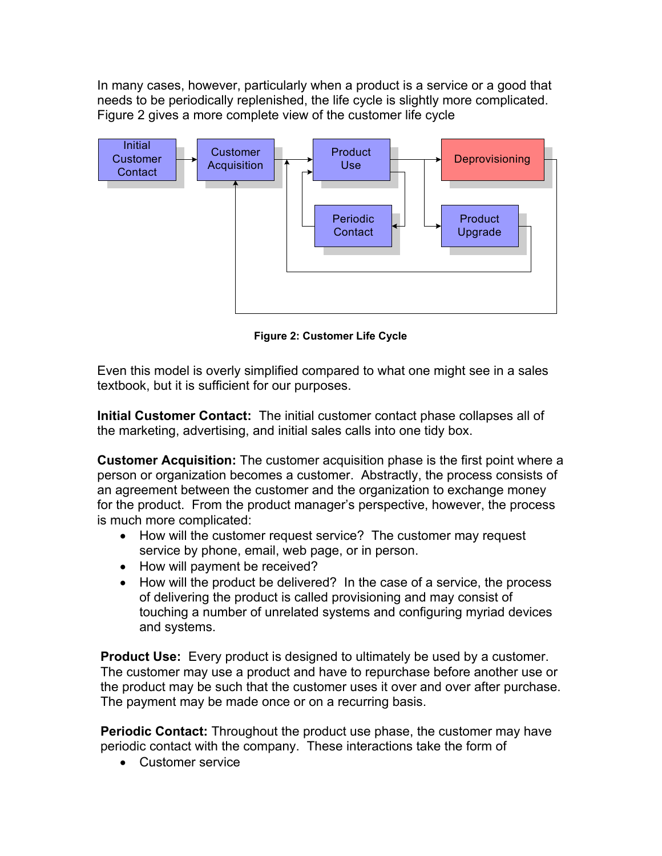<span id="page-5-0"></span>In many cases, however, particularly when a product is a service or a good that needs to be periodically replenished, the life cycle is slightly more complicated. [Figure 2](#page-5-0) gives a more complete view of the customer life cycle



**Figure 2: Customer Life Cycle** 

Even this model is overly simplified compared to what one might see in a sales textbook, but it is sufficient for our purposes.

**Initial Customer Contact:** The initial customer contact phase collapses all of the marketing, advertising, and initial sales calls into one tidy box.

**Customer Acquisition:** The customer acquisition phase is the first point where a person or organization becomes a customer. Abstractly, the process consists of an agreement between the customer and the organization to exchange money for the product. From the product manager's perspective, however, the process is much more complicated:

- How will the customer request service? The customer may request service by phone, email, web page, or in person.
- How will payment be received?
- How will the product be delivered? In the case of a service, the process of delivering the product is called provisioning and may consist of touching a number of unrelated systems and configuring myriad devices and systems.

**Product Use:** Every product is designed to ultimately be used by a customer. The customer may use a product and have to repurchase before another use or the product may be such that the customer uses it over and over after purchase. The payment may be made once or on a recurring basis.

**Periodic Contact:** Throughout the product use phase, the customer may have periodic contact with the company. These interactions take the form of

• Customer service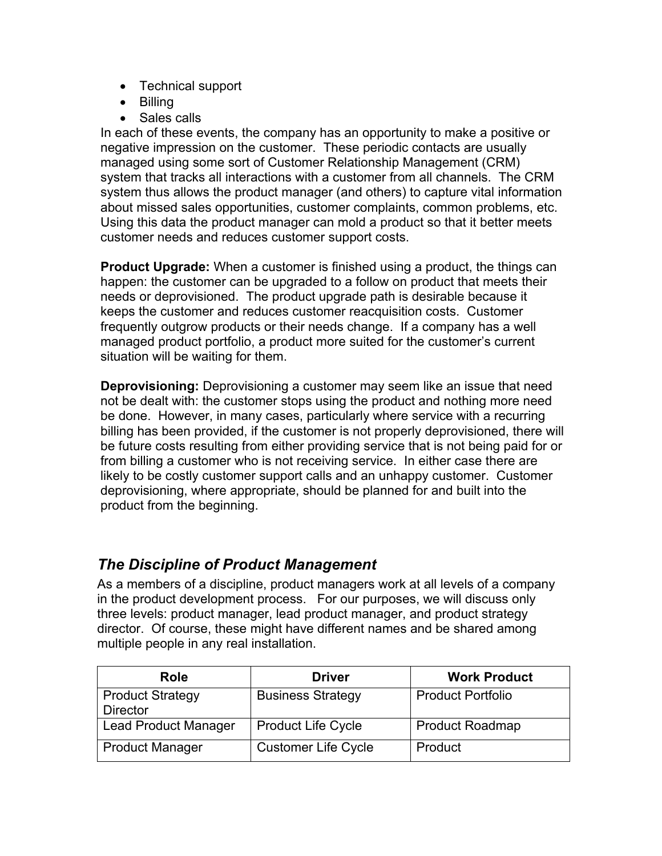- Technical support
- Billing
- Sales calls

In each of these events, the company has an opportunity to make a positive or negative impression on the customer. These periodic contacts are usually managed using some sort of Customer Relationship Management (CRM) system that tracks all interactions with a customer from all channels. The CRM system thus allows the product manager (and others) to capture vital information about missed sales opportunities, customer complaints, common problems, etc. Using this data the product manager can mold a product so that it better meets customer needs and reduces customer support costs.

**Product Upgrade:** When a customer is finished using a product, the things can happen: the customer can be upgraded to a follow on product that meets their needs or deprovisioned. The product upgrade path is desirable because it keeps the customer and reduces customer reacquisition costs. Customer frequently outgrow products or their needs change. If a company has a well managed product portfolio, a product more suited for the customer's current situation will be waiting for them.

**Deprovisioning:** Deprovisioning a customer may seem like an issue that need not be dealt with: the customer stops using the product and nothing more need be done. However, in many cases, particularly where service with a recurring billing has been provided, if the customer is not properly deprovisioned, there will be future costs resulting from either providing service that is not being paid for or from billing a customer who is not receiving service. In either case there are likely to be costly customer support calls and an unhappy customer. Customer deprovisioning, where appropriate, should be planned for and built into the product from the beginning.

# *The Discipline of Product Management*

As a members of a discipline, product managers work at all levels of a company in the product development process. For our purposes, we will discuss only three levels: product manager, lead product manager, and product strategy director. Of course, these might have different names and be shared among multiple people in any real installation.

| Role                                       | <b>Driver</b>              | <b>Work Product</b>      |
|--------------------------------------------|----------------------------|--------------------------|
| <b>Product Strategy</b><br><b>Director</b> | <b>Business Strategy</b>   | <b>Product Portfolio</b> |
| <b>Lead Product Manager</b>                | <b>Product Life Cycle</b>  | <b>Product Roadmap</b>   |
| <b>Product Manager</b>                     | <b>Customer Life Cycle</b> | Product                  |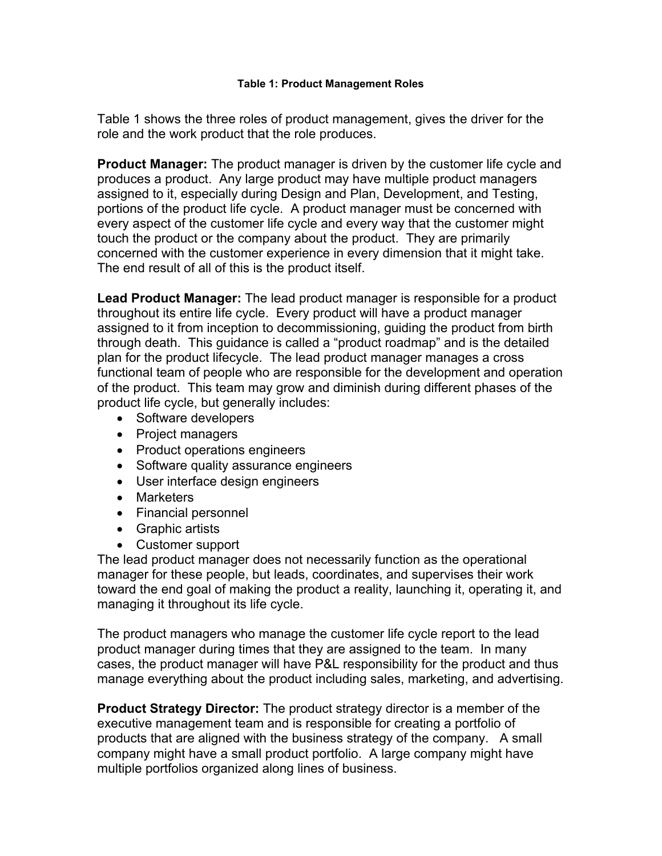<span id="page-7-0"></span>[Table 1](#page-7-0) shows the three roles of product management, gives the driver for the role and the work product that the role produces.

**Product Manager:** The product manager is driven by the customer life cycle and produces a product. Any large product may have multiple product managers assigned to it, especially during Design and Plan, Development, and Testing, portions of the product life cycle. A product manager must be concerned with every aspect of the customer life cycle and every way that the customer might touch the product or the company about the product. They are primarily concerned with the customer experience in every dimension that it might take. The end result of all of this is the product itself.

**Lead Product Manager:** The lead product manager is responsible for a product throughout its entire life cycle. Every product will have a product manager assigned to it from inception to decommissioning, guiding the product from birth through death. This guidance is called a "product roadmap" and is the detailed plan for the product lifecycle. The lead product manager manages a cross functional team of people who are responsible for the development and operation of the product. This team may grow and diminish during different phases of the product life cycle, but generally includes:

- Software developers
- Project managers
- Product operations engineers
- Software quality assurance engineers
- User interface design engineers
- Marketers
- Financial personnel
- Graphic artists
- Customer support

The lead product manager does not necessarily function as the operational manager for these people, but leads, coordinates, and supervises their work toward the end goal of making the product a reality, launching it, operating it, and managing it throughout its life cycle.

The product managers who manage the customer life cycle report to the lead product manager during times that they are assigned to the team. In many cases, the product manager will have P&L responsibility for the product and thus manage everything about the product including sales, marketing, and advertising.

**Product Strategy Director:** The product strategy director is a member of the executive management team and is responsible for creating a portfolio of products that are aligned with the business strategy of the company. A small company might have a small product portfolio. A large company might have multiple portfolios organized along lines of business.